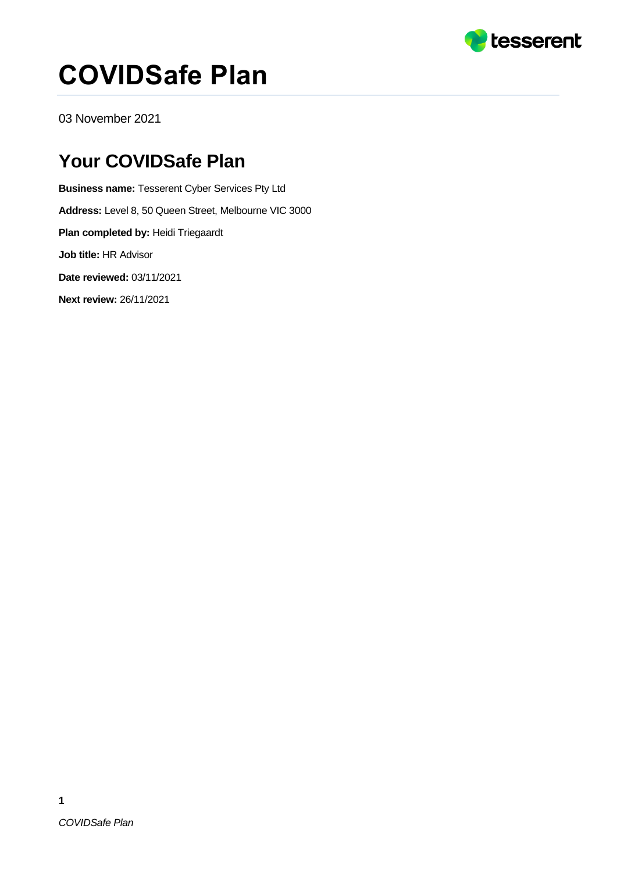

# **COVIDSafe Plan**

03 November 2021

#### **Your COVIDSafe Plan**

**Business name:** Tesserent Cyber Services Pty Ltd **Address:** Level 8, 50 Queen Street, Melbourne VIC 3000 **Plan completed by:** Heidi Triegaardt **Job title:** HR Advisor **Date reviewed:** 03/11/2021 **Next review:** 26/11/2021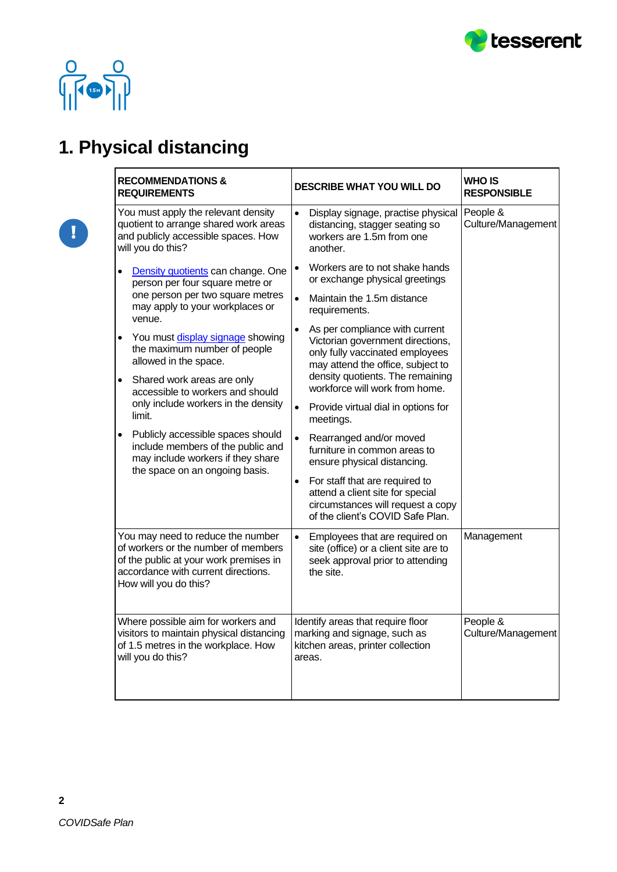



O

### **1. Physical distancing**

| <b>RECOMMENDATIONS &amp;</b><br><b>REQUIREMENTS</b>                                                                                                                                | <b>DESCRIBE WHAT YOU WILL DO</b>                                                                                                                        | <b>WHO IS</b><br><b>RESPONSIBLE</b> |
|------------------------------------------------------------------------------------------------------------------------------------------------------------------------------------|---------------------------------------------------------------------------------------------------------------------------------------------------------|-------------------------------------|
| You must apply the relevant density<br>quotient to arrange shared work areas<br>and publicly accessible spaces. How<br>will you do this?                                           | Display signage, practise physical<br>$\bullet$<br>distancing, stagger seating so<br>workers are 1.5m from one<br>another.                              | People &<br>Culture/Management      |
| Density quotients can change. One<br>$\bullet$<br>person per four square metre or                                                                                                  | Workers are to not shake hands<br>$\bullet$<br>or exchange physical greetings                                                                           |                                     |
| one person per two square metres<br>may apply to your workplaces or<br>venue.                                                                                                      | Maintain the 1.5m distance<br>$\bullet$<br>requirements.                                                                                                |                                     |
| You must display signage showing<br>$\bullet$<br>the maximum number of people<br>allowed in the space.                                                                             | As per compliance with current<br>$\bullet$<br>Victorian government directions,<br>only fully vaccinated employees<br>may attend the office, subject to |                                     |
| Shared work areas are only<br>$\bullet$<br>accessible to workers and should                                                                                                        | density quotients. The remaining<br>workforce will work from home.                                                                                      |                                     |
| only include workers in the density<br>limit.                                                                                                                                      | Provide virtual dial in options for<br>$\bullet$<br>meetings.                                                                                           |                                     |
| Publicly accessible spaces should<br>$\bullet$<br>include members of the public and<br>may include workers if they share<br>the space on an ongoing basis.                         | $\bullet$<br>Rearranged and/or moved<br>furniture in common areas to<br>ensure physical distancing.                                                     |                                     |
|                                                                                                                                                                                    | For staff that are required to<br>attend a client site for special<br>circumstances will request a copy<br>of the client's COVID Safe Plan.             |                                     |
| You may need to reduce the number<br>of workers or the number of members<br>of the public at your work premises in<br>accordance with current directions.<br>How will you do this? | Employees that are required on<br>$\bullet$<br>site (office) or a client site are to<br>seek approval prior to attending<br>the site.                   | Management                          |
| Where possible aim for workers and<br>visitors to maintain physical distancing<br>of 1.5 metres in the workplace. How<br>will you do this?                                         | Identify areas that require floor<br>marking and signage, such as<br>kitchen areas, printer collection<br>areas.                                        | People &<br>Culture/Management      |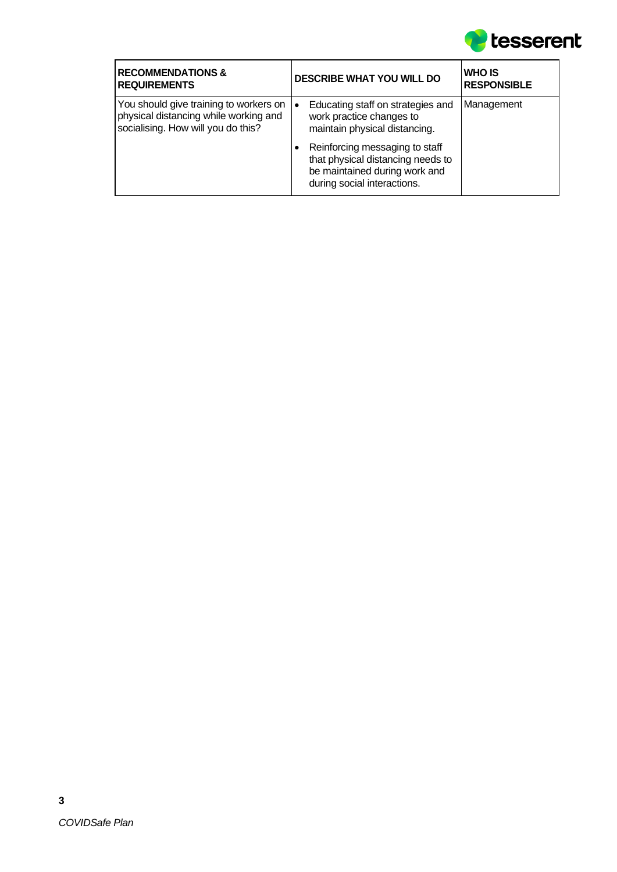

| <b>RECOMMENDATIONS &amp;</b><br><b>REQUIREMENTS</b>                                                                   | <b>DESCRIBE WHAT YOU WILL DO</b>                                                                                                    | <b>WHO IS</b><br><b>RESPONSIBLE</b> |
|-----------------------------------------------------------------------------------------------------------------------|-------------------------------------------------------------------------------------------------------------------------------------|-------------------------------------|
| You should give training to workers on<br>physical distancing while working and<br>socialising. How will you do this? | Educating staff on strategies and<br>work practice changes to<br>maintain physical distancing.                                      | Management                          |
|                                                                                                                       | Reinforcing messaging to staff<br>that physical distancing needs to<br>be maintained during work and<br>during social interactions. |                                     |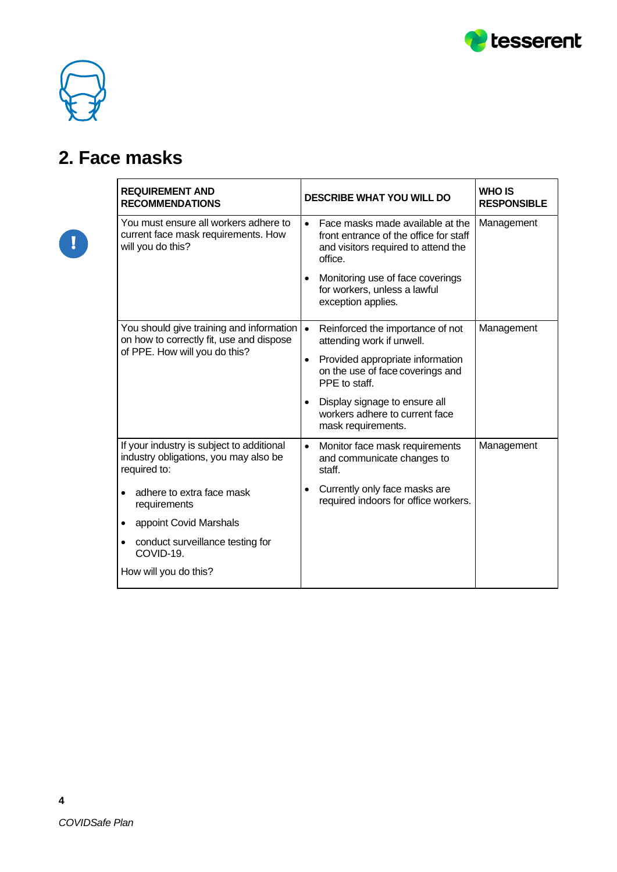

T

٦

#### **2. Face masks**

 $\mathbf{r}$ 

| <b>REQUIREMENT AND</b><br><b>RECOMMENDATIONS</b>                                                                          | <b>DESCRIBE WHAT YOU WILL DO</b>                                                                                                          | <b>WHO IS</b><br><b>RESPONSIBLE</b> |
|---------------------------------------------------------------------------------------------------------------------------|-------------------------------------------------------------------------------------------------------------------------------------------|-------------------------------------|
| You must ensure all workers adhere to<br>current face mask requirements. How<br>will you do this?                         | Face masks made available at the<br>$\bullet$<br>front entrance of the office for staff<br>and visitors required to attend the<br>office. | Management                          |
|                                                                                                                           | Monitoring use of face coverings<br>$\bullet$<br>for workers, unless a lawful<br>exception applies.                                       |                                     |
| You should give training and information   •<br>on how to correctly fit, use and dispose<br>of PPE. How will you do this? | Reinforced the importance of not<br>attending work if unwell.                                                                             | Management                          |
|                                                                                                                           | Provided appropriate information<br>$\bullet$<br>on the use of face coverings and<br>PPE to staff.                                        |                                     |
|                                                                                                                           | Display signage to ensure all<br>$\bullet$<br>workers adhere to current face<br>mask requirements.                                        |                                     |
| If your industry is subject to additional<br>industry obligations, you may also be<br>required to:                        | Monitor face mask requirements<br>$\bullet$<br>and communicate changes to<br>staff.                                                       | Management                          |
| adhere to extra face mask<br>requirements                                                                                 | Currently only face masks are<br>$\bullet$<br>required indoors for office workers.                                                        |                                     |
| appoint Covid Marshals<br>$\bullet$                                                                                       |                                                                                                                                           |                                     |
| conduct surveillance testing for<br>$\bullet$<br>COVID-19.                                                                |                                                                                                                                           |                                     |
| How will you do this?                                                                                                     |                                                                                                                                           |                                     |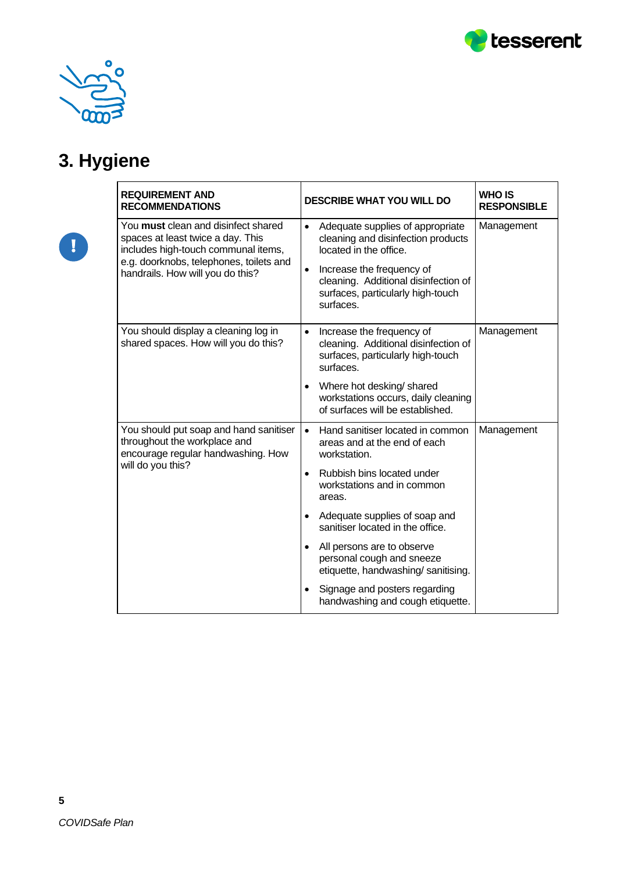



## **3. Hygiene**

| <b>REQUIREMENT AND</b><br><b>RECOMMENDATIONS</b>                                                                                                                                                      | <b>DESCRIBE WHAT YOU WILL DO</b>                                                                                                                                                                                                                  | <b>WHO IS</b><br><b>RESPONSIBLE</b> |
|-------------------------------------------------------------------------------------------------------------------------------------------------------------------------------------------------------|---------------------------------------------------------------------------------------------------------------------------------------------------------------------------------------------------------------------------------------------------|-------------------------------------|
| You <b>must</b> clean and disinfect shared<br>spaces at least twice a day. This<br>includes high-touch communal items,<br>e.g. doorknobs, telephones, toilets and<br>handrails. How will you do this? | Adequate supplies of appropriate<br>$\bullet$<br>cleaning and disinfection products<br>located in the office.<br>Increase the frequency of<br>$\bullet$<br>cleaning. Additional disinfection of<br>surfaces, particularly high-touch<br>surfaces. | Management                          |
| You should display a cleaning log in<br>shared spaces. How will you do this?                                                                                                                          | Increase the frequency of<br>$\bullet$<br>cleaning. Additional disinfection of<br>surfaces, particularly high-touch<br>surfaces.                                                                                                                  | Management                          |
|                                                                                                                                                                                                       | Where hot desking/ shared<br>workstations occurs, daily cleaning<br>of surfaces will be established.                                                                                                                                              |                                     |
| You should put soap and hand sanitiser<br>throughout the workplace and<br>encourage regular handwashing. How<br>will do you this?                                                                     | Hand sanitiser located in common<br>$\bullet$<br>areas and at the end of each<br>workstation.                                                                                                                                                     | Management                          |
|                                                                                                                                                                                                       | Rubbish bins located under<br>$\bullet$<br>workstations and in common<br>areas.                                                                                                                                                                   |                                     |
|                                                                                                                                                                                                       | Adequate supplies of soap and<br>$\bullet$<br>sanitiser located in the office.                                                                                                                                                                    |                                     |
|                                                                                                                                                                                                       | All persons are to observe<br>$\bullet$<br>personal cough and sneeze<br>etiquette, handwashing/ sanitising.                                                                                                                                       |                                     |
|                                                                                                                                                                                                       | Signage and posters regarding<br>handwashing and cough etiquette.                                                                                                                                                                                 |                                     |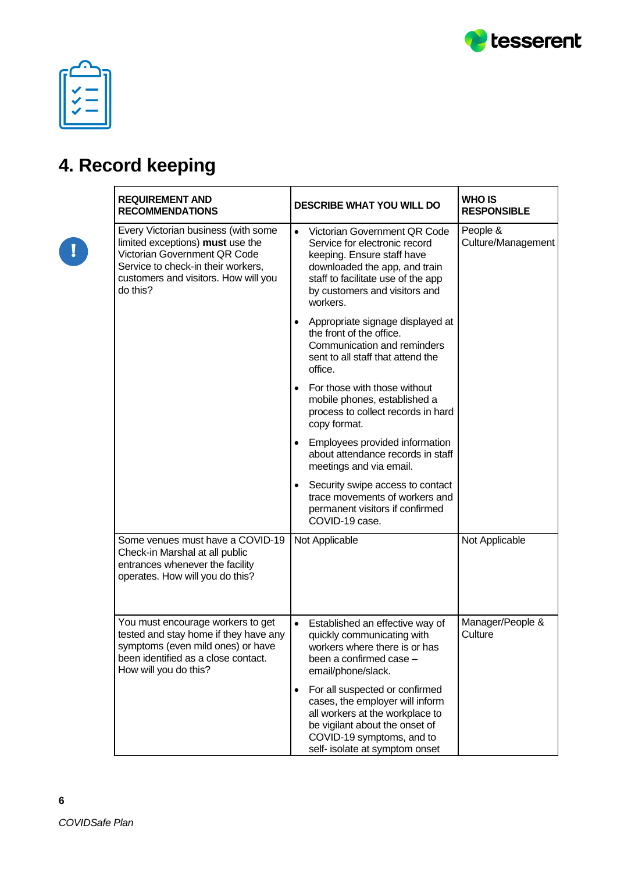

O

## **4. Record keeping**

| <b>REQUIREMENT AND</b><br><b>RECOMMENDATIONS</b>                                                                                                                                                  | <b>DESCRIBE WHAT YOU WILL DO</b>                                                                                                                                                                                             | <b>WHO IS</b><br><b>RESPONSIBLE</b> |
|---------------------------------------------------------------------------------------------------------------------------------------------------------------------------------------------------|------------------------------------------------------------------------------------------------------------------------------------------------------------------------------------------------------------------------------|-------------------------------------|
| Every Victorian business (with some<br>limited exceptions) must use the<br>Victorian Government QR Code<br>Service to check-in their workers,<br>customers and visitors. How will you<br>do this? | Victorian Government QR Code<br>$\bullet$<br>Service for electronic record<br>keeping. Ensure staff have<br>downloaded the app, and train<br>staff to facilitate use of the app<br>by customers and visitors and<br>workers. | People &<br>Culture/Management      |
|                                                                                                                                                                                                   | Appropriate signage displayed at<br>$\bullet$<br>the front of the office.<br>Communication and reminders<br>sent to all staff that attend the<br>office.                                                                     |                                     |
|                                                                                                                                                                                                   | For those with those without<br>$\bullet$<br>mobile phones, established a<br>process to collect records in hard<br>copy format.                                                                                              |                                     |
|                                                                                                                                                                                                   | Employees provided information<br>$\bullet$<br>about attendance records in staff<br>meetings and via email.                                                                                                                  |                                     |
|                                                                                                                                                                                                   | Security swipe access to contact<br>$\bullet$<br>trace movements of workers and<br>permanent visitors if confirmed<br>COVID-19 case.                                                                                         |                                     |
| Some venues must have a COVID-19<br>Check-in Marshal at all public<br>entrances whenever the facility<br>operates. How will you do this?                                                          | Not Applicable                                                                                                                                                                                                               | Not Applicable                      |
| You must encourage workers to get<br>tested and stay home if they have any<br>symptoms (even mild ones) or have<br>been identified as a close contact.<br>How will you do this?                   | Established an effective way of<br>$\bullet$<br>quickly communicating with<br>workers where there is or has<br>been a confirmed case -<br>email/phone/slack.                                                                 | Manager/People &<br>Culture         |
|                                                                                                                                                                                                   | For all suspected or confirmed<br>$\bullet$<br>cases, the employer will inform<br>all workers at the workplace to<br>be vigilant about the onset of<br>COVID-19 symptoms, and to<br>self- isolate at symptom onset           |                                     |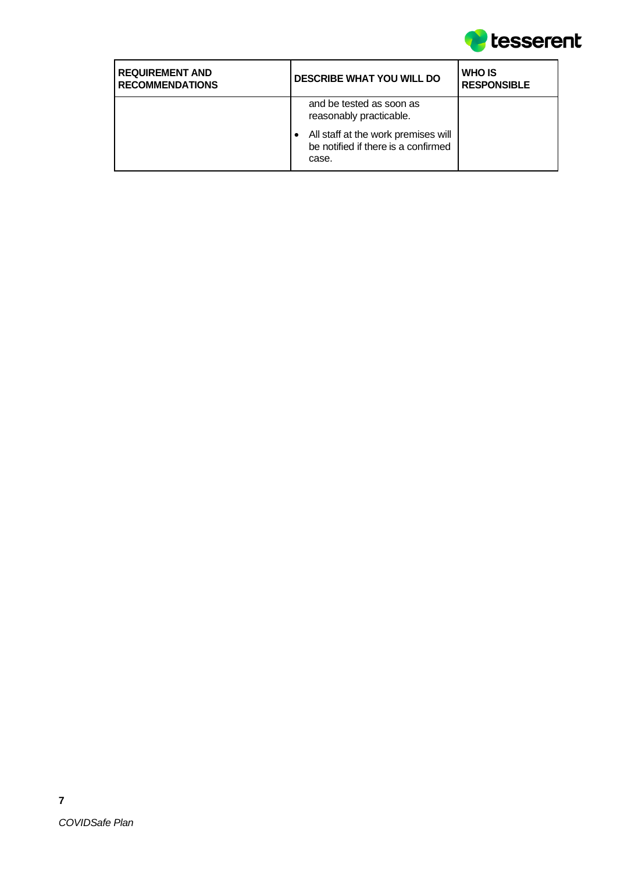

| <b>REQUIREMENT AND</b><br><b>RECOMMENDATIONS</b> | <b>DESCRIBE WHAT YOU WILL DO</b>                                                                                                           | <b>WHO IS</b><br><b>RESPONSIBLE</b> |
|--------------------------------------------------|--------------------------------------------------------------------------------------------------------------------------------------------|-------------------------------------|
|                                                  | and be tested as soon as<br>reasonably practicable.<br>All staff at the work premises will<br>be notified if there is a confirmed<br>case. |                                     |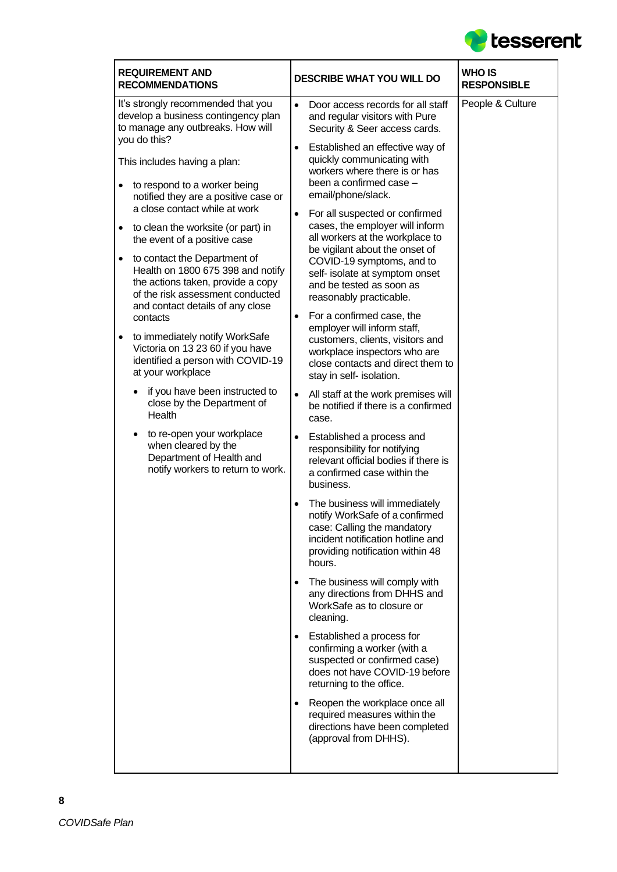

| <b>REQUIREMENT AND</b><br><b>RECOMMENDATIONS</b>                                                                                                                                                                                                                                                                                                                                                                                                                                                                                                                                 | <b>DESCRIBE WHAT YOU WILL DO</b>                                                                                                                                                                                                                                                                                                                                                                                                                                                                                                                                                                                                               | <b>WHO IS</b><br><b>RESPONSIBLE</b> |
|----------------------------------------------------------------------------------------------------------------------------------------------------------------------------------------------------------------------------------------------------------------------------------------------------------------------------------------------------------------------------------------------------------------------------------------------------------------------------------------------------------------------------------------------------------------------------------|------------------------------------------------------------------------------------------------------------------------------------------------------------------------------------------------------------------------------------------------------------------------------------------------------------------------------------------------------------------------------------------------------------------------------------------------------------------------------------------------------------------------------------------------------------------------------------------------------------------------------------------------|-------------------------------------|
| It's strongly recommended that you<br>develop a business contingency plan<br>to manage any outbreaks. How will<br>you do this?                                                                                                                                                                                                                                                                                                                                                                                                                                                   | $\bullet$<br>Door access records for all staff<br>and regular visitors with Pure<br>Security & Seer access cards.                                                                                                                                                                                                                                                                                                                                                                                                                                                                                                                              | People & Culture                    |
| This includes having a plan:<br>to respond to a worker being                                                                                                                                                                                                                                                                                                                                                                                                                                                                                                                     | Established an effective way of<br>$\bullet$<br>quickly communicating with<br>workers where there is or has<br>been a confirmed case -                                                                                                                                                                                                                                                                                                                                                                                                                                                                                                         |                                     |
| notified they are a positive case or<br>a close contact while at work<br>to clean the worksite (or part) in<br>the event of a positive case<br>to contact the Department of<br>Health on 1800 675 398 and notify<br>the actions taken, provide a copy<br>of the risk assessment conducted<br>and contact details of any close<br>contacts<br>to immediately notify WorkSafe<br>Victoria on 13 23 60 if you have<br>identified a person with COVID-19<br>at your workplace<br>if you have been instructed to<br>close by the Department of<br>Health<br>to re-open your workplace | email/phone/slack.<br>For all suspected or confirmed<br>$\bullet$<br>cases, the employer will inform<br>all workers at the workplace to<br>be vigilant about the onset of<br>COVID-19 symptoms, and to<br>self- isolate at symptom onset<br>and be tested as soon as<br>reasonably practicable.<br>For a confirmed case, the<br>$\bullet$<br>employer will inform staff,<br>customers, clients, visitors and<br>workplace inspectors who are<br>close contacts and direct them to<br>stay in self- isolation.<br>All staff at the work premises will<br>$\bullet$<br>be notified if there is a confirmed<br>case.<br>Established a process and |                                     |
| when cleared by the<br>Department of Health and<br>notify workers to return to work.                                                                                                                                                                                                                                                                                                                                                                                                                                                                                             | responsibility for notifying<br>relevant official bodies if there is<br>a confirmed case within the<br>business.<br>The business will immediately<br>notify WorkSafe of a confirmed<br>case: Calling the mandatory<br>incident notification hotline and<br>providing notification within 48<br>hours.                                                                                                                                                                                                                                                                                                                                          |                                     |
|                                                                                                                                                                                                                                                                                                                                                                                                                                                                                                                                                                                  | The business will comply with<br>$\bullet$<br>any directions from DHHS and<br>WorkSafe as to closure or<br>cleaning.                                                                                                                                                                                                                                                                                                                                                                                                                                                                                                                           |                                     |
|                                                                                                                                                                                                                                                                                                                                                                                                                                                                                                                                                                                  | Established a process for<br>$\bullet$<br>confirming a worker (with a<br>suspected or confirmed case)<br>does not have COVID-19 before<br>returning to the office.                                                                                                                                                                                                                                                                                                                                                                                                                                                                             |                                     |
|                                                                                                                                                                                                                                                                                                                                                                                                                                                                                                                                                                                  | Reopen the workplace once all<br>$\bullet$<br>required measures within the<br>directions have been completed<br>(approval from DHHS).                                                                                                                                                                                                                                                                                                                                                                                                                                                                                                          |                                     |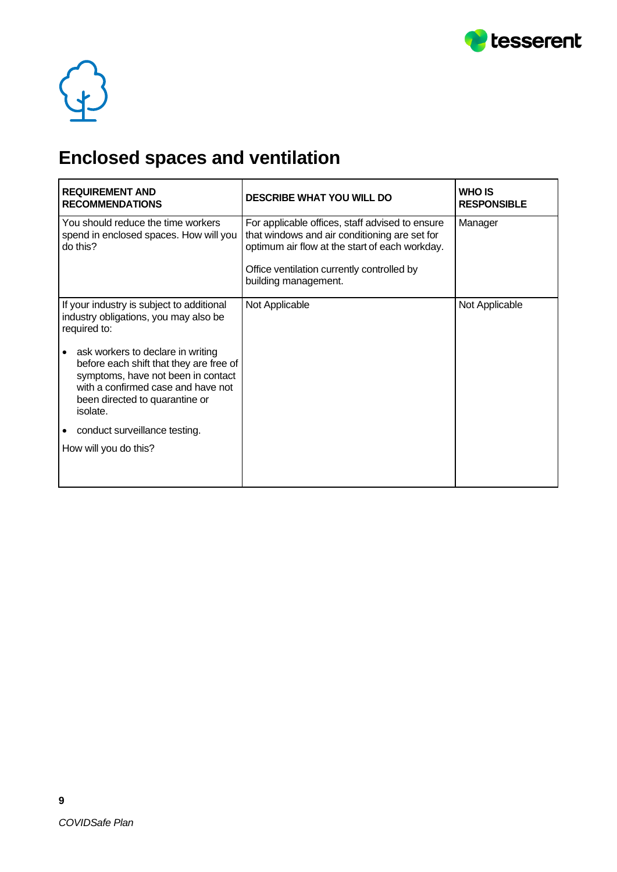



## **Enclosed spaces and ventilation**

| <b>REQUIREMENT AND</b><br><b>RECOMMENDATIONS</b>                                                                                                                                                       | <b>DESCRIBE WHAT YOU WILL DO</b>                                                                                                                   | <b>WHO IS</b><br><b>RESPONSIBLE</b> |
|--------------------------------------------------------------------------------------------------------------------------------------------------------------------------------------------------------|----------------------------------------------------------------------------------------------------------------------------------------------------|-------------------------------------|
| You should reduce the time workers<br>spend in enclosed spaces. How will you<br>do this?                                                                                                               | For applicable offices, staff advised to ensure<br>that windows and air conditioning are set for<br>optimum air flow at the start of each workday. | Manager                             |
|                                                                                                                                                                                                        | Office ventilation currently controlled by<br>building management.                                                                                 |                                     |
| If your industry is subject to additional<br>industry obligations, you may also be<br>required to:                                                                                                     | Not Applicable                                                                                                                                     | Not Applicable                      |
| ask workers to declare in writing<br>before each shift that they are free of<br>symptoms, have not been in contact<br>with a confirmed case and have not<br>been directed to quarantine or<br>isolate. |                                                                                                                                                    |                                     |
| conduct surveillance testing.                                                                                                                                                                          |                                                                                                                                                    |                                     |
| How will you do this?                                                                                                                                                                                  |                                                                                                                                                    |                                     |